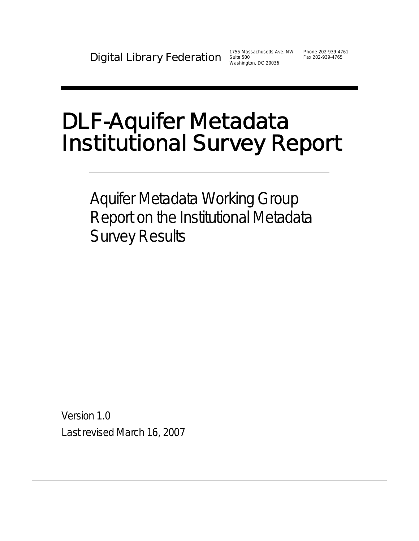Washington, DC 20036

# DLF-Aquifer Metadata Institutional Survey Report

Aquifer Metadata Working Group Report on the Institutional Metadata Survey Results

Version 1.0 Last revised March 16, 2007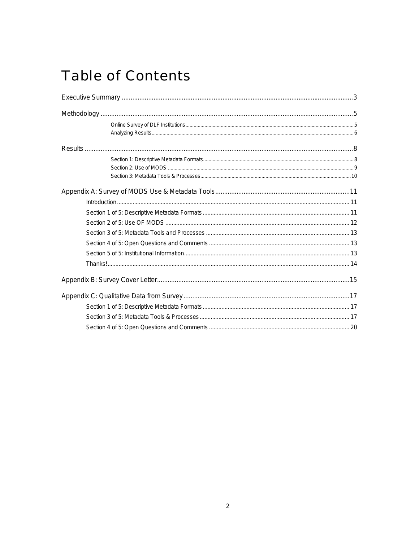# **Table of Contents**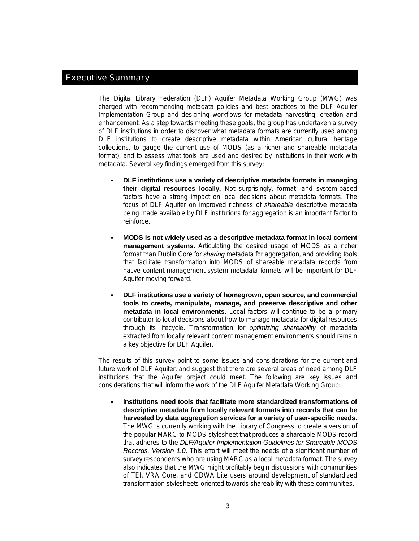# Executive Summary

The Digital Library Federation (DLF) Aquifer Metadata Working Group (MWG) was charged with recommending metadata policies and best practices to the DLF Aquifer Implementation Group and designing workflows for metadata harvesting, creation and enhancement. As a step towards meeting these goals, the group has undertaken a survey of DLF institutions in order to discover what metadata formats are currently used among DLF institutions to create descriptive metadata within American cultural heritage collections, to gauge the current use of MODS (as a richer and shareable metadata format), and to assess what tools are used and desired by institutions in their work with metadata. Several key findings emerged from this survey:

- **DLF institutions use a variety of descriptive metadata formats in managing their digital resources locally.** Not surprisingly, format- and system-based factors have a strong impact on local decisions about metadata formats. The focus of DLF Aquifer on improved richness of *shareable* descriptive metadata being made available by DLF institutions for aggregation is an important factor to reinforce.
- **MODS is not widely used as a descriptive metadata format in local content management systems.** Articulating the desired usage of MODS as a richer format than Dublin Core for *sharing* metadata for aggregation, and providing tools that facilitate transformation into MODS of shareable metadata records from native content management system metadata formats will be important for DLF Aquifer moving forward.
- **DLF institutions use a variety of homegrown, open source, and commercial tools to create, manipulate, manage, and preserve descriptive and other metadata in local environments.** Local factors will continue to be a primary contributor to local decisions about how to manage metadata for digital resources through its lifecycle. Transformation for *optimizing shareability* of metadata extracted from locally relevant content management environments should remain a key objective for DLF Aquifer.

The results of this survey point to some issues and considerations for the current and future work of DLF Aquifer, and suggest that there are several areas of need among DLF institutions that the Aquifer project could meet. The following are key issues and considerations that will inform the work of the DLF Aquifer Metadata Working Group:

 **Institutions need tools that facilitate more standardized transformations of descriptive metadata from locally relevant formats into records that can be harvested by data aggregation services for a variety of user-specific needs.** The MWG is currently working with the Library of Congress to create a version of the popular MARC-to-MODS stylesheet that produces a shareable MODS record that adheres to the *DLF/Aquifer Implementation Guidelines for Shareable MODS Records, Version 1.0*. This effort will meet the needs of a significant number of survey respondents who are using MARC as a local metadata format. The survey also indicates that the MWG might profitably begin discussions with communities of TEI, VRA Core, and CDWA Lite users around development of standardized transformation stylesheets oriented towards shareability with these communities..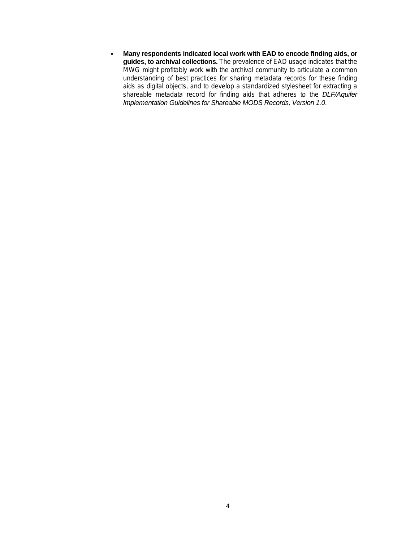**Many respondents indicated local work with EAD to encode finding aids, or guides, to archival collections.** The prevalence of EAD usage indicates that the MWG might profitably work with the archival community to articulate a common understanding of best practices for sharing metadata records for these finding aids as digital objects, and to develop a standardized stylesheet for extracting a shareable metadata record for finding aids that adheres to the *DLF/Aquifer Implementation Guidelines for Shareable MODS Records, Version 1.0*.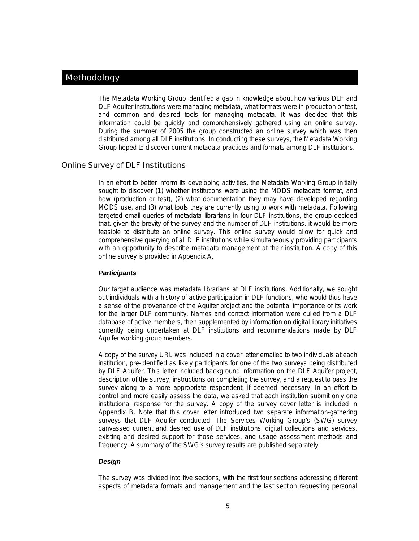# **Methodology**

The Metadata Working Group identified a gap in knowledge about how various DLF and DLF Aquifer institutions were managing metadata, what formats were in production or test, and common and desired tools for managing metadata. It was decided that this information could be quickly and comprehensively gathered using an online survey. During the summer of 2005 the group constructed an online survey which was then distributed among all DLF institutions. In conducting these surveys, the Metadata Working Group hoped to discover current metadata practices and formats among DLF institutions.

# Online Survey of DLF Institutions

In an effort to better inform its developing activities, the Metadata Working Group initially sought to discover (1) whether institutions were using the MODS metadata format, and how (production or test), (2) what documentation they may have developed regarding MODS use, and (3) what tools they are currently using to work with metadata. Following targeted email queries of metadata librarians in four DLF institutions, the group decided that, given the brevity of the survey and the number of DLF institutions, it would be more feasible to distribute an online survey. This online survey would allow for quick and comprehensive querying of all DLF institutions while simultaneously providing participants with an opportunity to describe metadata management at their institution. A copy of this online survey is provided in Appendix A.

# *Participants*

Our target audience was metadata librarians at DLF institutions. Additionally, we sought out individuals with a history of active participation in DLF functions, who would thus have a sense of the provenance of the Aquifer project and the potential importance of its work for the larger DLF community. Names and contact information were culled from a DLF database of active members, then supplemented by information on digital library initiatives currently being undertaken at DLF institutions and recommendations made by DLF Aquifer working group members.

A copy of the survey URL was included in a cover letter emailed to two individuals at each institution, pre-identified as likely participants for one of the two surveys being distributed by DLF Aquifer. This letter included background information on the DLF Aquifer project, description of the survey, instructions on completing the survey, and a request to pass the survey along to a more appropriate respondent, if deemed necessary. In an effort to control and more easily assess the data, we asked that each institution submit only one institutional response for the survey. A copy of the survey cover letter is included in Appendix B. Note that this cover letter introduced two separate information-gathering surveys that DLF Aquifer conducted. The Services Working Group's (SWG) survey canvassed current and desired use of DLF institutions' digital collections and services, existing and desired support for those services, and usage assessment methods and frequency. A summary of the SWG's survey results are published separately.

# *Design*

The survey was divided into five sections, with the first four sections addressing different aspects of metadata formats and management and the last section requesting personal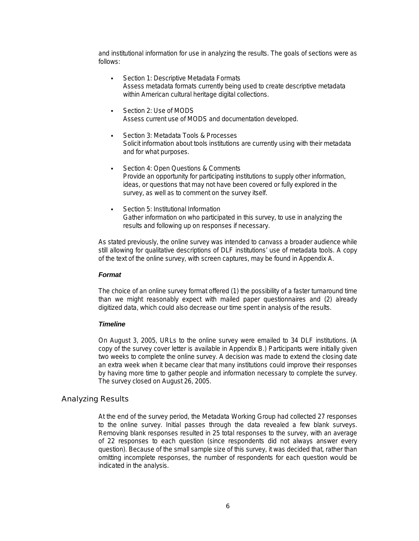and institutional information for use in analyzing the results. The goals of sections were as follows:

- Section 1: Descriptive Metadata Formats Assess metadata formats currently being used to create descriptive metadata within American cultural heritage digital collections.
- Section 2: Use of MODS Assess current use of MODS and documentation developed.
- Section 3: Metadata Tools & Processes Solicit information about tools institutions are currently using with their metadata and for what purposes.
- Section 4: Open Questions & Comments Provide an opportunity for participating institutions to supply other information, ideas, or questions that may not have been covered or fully explored in the survey, as well as to comment on the survey itself.
- Section 5: Institutional Information Gather information on who participated in this survey, to use in analyzing the results and following up on responses if necessary.

As stated previously, the online survey was intended to canvass a broader audience while still allowing for qualitative descriptions of DLF institutions' use of metadata tools. A copy of the text of the online survey, with screen captures, may be found in Appendix A.

# *Format*

The choice of an online survey format offered (1) the possibility of a faster turnaround time than we might reasonably expect with mailed paper questionnaires and (2) already digitized data, which could also decrease our time spent in analysis of the results.

#### *Timeline*

On August 3, 2005, URLs to the online survey were emailed to 34 DLF institutions. (A copy of the survey cover letter is available in Appendix B.) Participants were initially given two weeks to complete the online survey. A decision was made to extend the closing date an extra week when it became clear that many institutions could improve their responses by having more time to gather people and information necessary to complete the survey. The survey closed on August 26, 2005.

# Analyzing Results

At the end of the survey period, the Metadata Working Group had collected 27 responses to the online survey. Initial passes through the data revealed a few blank surveys. Removing blank responses resulted in 25 total responses to the survey, with an average of 22 responses to each question (since respondents did not always answer every question). Because of the small sample size of this survey, it was decided that, rather than omitting incomplete responses, the number of respondents for each question would be indicated in the analysis.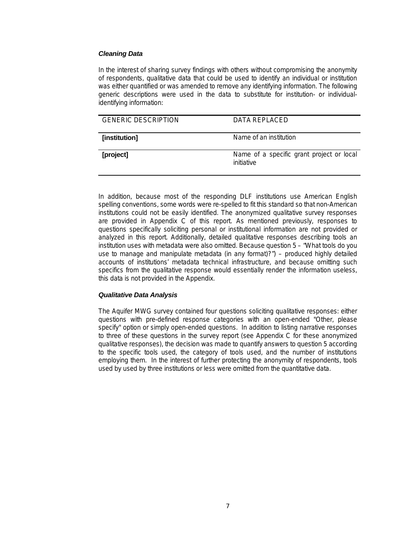# *Cleaning Data*

In the interest of sharing survey findings with others without compromising the anonymity of respondents, qualitative data that could be used to identify an individual or institution was either quantified or was amended to remove any identifying information. The following generic descriptions were used in the data to substitute for institution- or individualidentifying information:

| <b>GENERIC DESCRIPTION</b> | DATA REPLACED                                           |
|----------------------------|---------------------------------------------------------|
| [institution]              | Name of an institution                                  |
| [project]                  | Name of a specific grant project or local<br>initiative |

In addition, because most of the responding DLF institutions use American English spelling conventions, some words were re-spelled to fit this standard so that non-American institutions could not be easily identified. The anonymized qualitative survey responses are provided in Appendix C of this report. As mentioned previously, responses to questions specifically soliciting personal or institutional information are not provided or analyzed in this report. Additionally, detailed qualitative responses describing tools an institution uses with metadata were also omitted. Because question 5 – "What tools do you use to manage and manipulate metadata (in any format)?") – produced highly detailed accounts of institutions' metadata technical infrastructure, and because omitting such specifics from the qualitative response would essentially render the information useless, this data is not provided in the Appendix.

# *Qualitative Data Analysis*

The Aquifer MWG survey contained four questions soliciting qualitative responses: either questions with pre-defined response categories with an open-ended "Other, please specify" option or simply open-ended questions. In addition to listing narrative responses to three of these questions in the survey report (see Appendix C for these anonymized qualitative responses), the decision was made to quantify answers to question 5 according to the specific tools used, the category of tools used, and the number of institutions employing them. In the interest of further protecting the anonymity of respondents, tools used by used by three institutions or less were omitted from the quantitative data.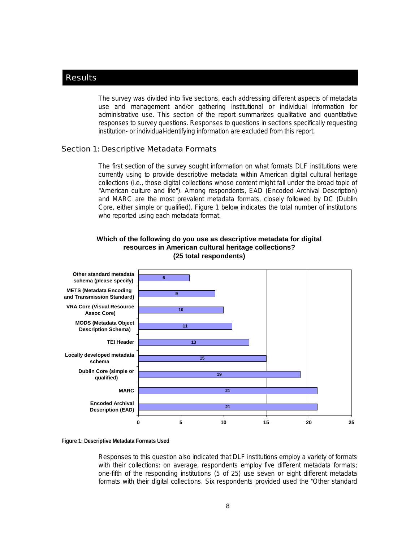# **Results**

The survey was divided into five sections, each addressing different aspects of metadata use and management and/or gathering institutional or individual information for administrative use. This section of the report summarizes qualitative and quantitative responses to survey questions. Responses to questions in sections specifically requesting institution- or individual-identifying information are excluded from this report.

#### Section 1: Descriptive Metadata Formats

The first section of the survey sought information on what formats DLF institutions were currently using to provide descriptive metadata within American digital cultural heritage collections (i.e., those digital collections whose content might fall under the broad topic of "American culture and life"). Among respondents, EAD (Encoded Archival Description) and MARC are the most prevalent metadata formats, closely followed by DC (Dublin Core, either simple or qualified). Figure 1 below indicates the total number of institutions who reported using each metadata format.



# **Which of the following do you use as descriptive metadata for digital resources in American cultural heritage collections? (25 total respondents)**

**Figure 1: Descriptive Metadata Formats Used** 

Responses to this question also indicated that DLF institutions employ a variety of formats with their collections: on average, respondents employ five different metadata formats; one-fifth of the responding institutions (5 of 25) use seven or eight different metadata formats with their digital collections. Six respondents provided used the "Other standard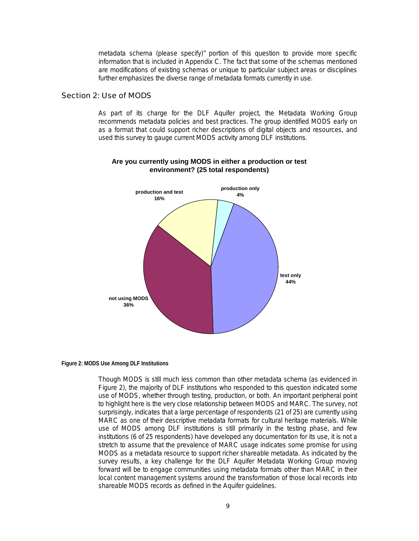metadata schema (please specify)" portion of this question to provide more specific information that is included in Appendix C. The fact that some of the schemas mentioned are modifications of existing schemas or unique to particular subject areas or disciplines further emphasizes the diverse range of metadata formats currently in use.

# Section 2: Use of MODS

As part of its charge for the DLF Aquifer project, the Metadata Working Group recommends metadata policies and best practices. The group identified MODS early on as a format that could support richer descriptions of digital objects and resources, and used this survey to gauge current MODS activity among DLF institutions.



# **Are you currently using MODS in either a production or test environment? (25 total respondents)**

#### **Figure 2: MODS Use Among DLF Institutions**

Though MODS is still much less common than other metadata schema (as evidenced in Figure 2), the majority of DLF institutions who responded to this question indicated some use of MODS, whether through testing, production, or both. An important peripheral point to highlight here is the very close relationship between MODS and MARC. The survey, not surprisingly, indicates that a large percentage of respondents (21 of 25) are currently using MARC as one of their descriptive metadata formats for cultural heritage materials. While use of MODS among DLF institutions is still primarily in the testing phase, and few institutions (6 of 25 respondents) have developed any documentation for its use, it is not a stretch to assume that the prevalence of MARC usage indicates some promise for using MODS as a metadata resource to support richer shareable metadata. As indicated by the survey results, a key challenge for the DLF Aquifer Metadata Working Group moving forward will be to engage communities using metadata formats other than MARC in their local content management systems around the transformation of those local records into shareable MODS records as defined in the Aquifer guidelines.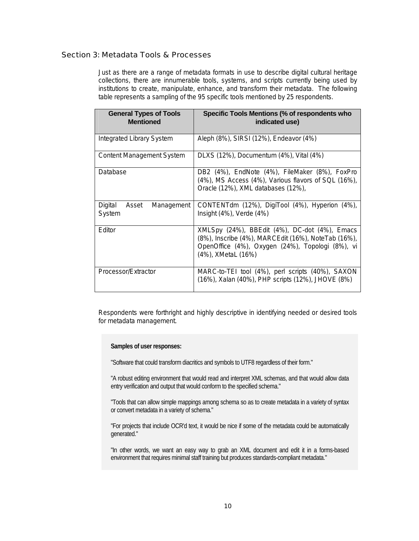# Section 3: Metadata Tools & Processes

Just as there are a range of metadata formats in use to describe digital cultural heritage collections, there are innumerable tools, systems, and scripts currently being used by institutions to create, manipulate, enhance, and transform their metadata. The following table represents a sampling of the 95 specific tools mentioned by 25 respondents.

| <b>General Types of Tools</b><br><b>Mentioned</b> | Specific Tools Mentions (% of respondents who<br>indicated use)                                                                                                                |
|---------------------------------------------------|--------------------------------------------------------------------------------------------------------------------------------------------------------------------------------|
| Integrated Library System                         | Aleph (8%), SIRSI (12%), Endeavor (4%)                                                                                                                                         |
| Content Management System                         | DLXS (12%), Documentum (4%), Vital (4%)                                                                                                                                        |
| Database                                          | DB2 (4%), EndNote (4%), FileMaker (8%), FoxPro<br>(4%), MS Access (4%), Various flavors of SQL (16%),<br>Oracle (12%), XML databases (12%),                                    |
| Digital<br>Management<br>Asset<br>System          | CONTENTdm (12%), DigiTool (4%), Hyperion (4%),<br>Insight $(4%)$ , Verde $(4%)$                                                                                                |
| Editor                                            | XMLSpy (24%), BBEdit (4%), DC-dot (4%), Emacs<br>(8%), Inscribe (4%), MARCEdit (16%), NoteTab (16%),<br>OpenOffice (4%), Oxygen (24%), Topologi (8%), vi<br>(4%), XMetaL (16%) |
| Processor/Extractor                               | MARC-to-TEI tool (4%), perl scripts (40%), SAXON<br>(16%), Xalan (40%), PHP scripts (12%), JHOVE (8%)                                                                          |

Respondents were forthright and highly descriptive in identifying needed or desired tools for metadata management.

**Samples of user responses:** 

"Software that could transform diacritics and symbols to UTF8 regardless of their form."

"A robust editing environment that would read and interpret XML schemas, and that would allow data entry verification and output that would conform to the specified schema."

"Tools that can allow simple mappings among schema so as to create metadata in a variety of syntax or convert metadata in a variety of schema."

"For projects that include OCR'd text, it would be nice if some of the metadata could be automatically generated."

"In other words, we want an easy way to grab an XML document and edit it in a forms-based environment that requires minimal staff training but produces standards-compliant metadata."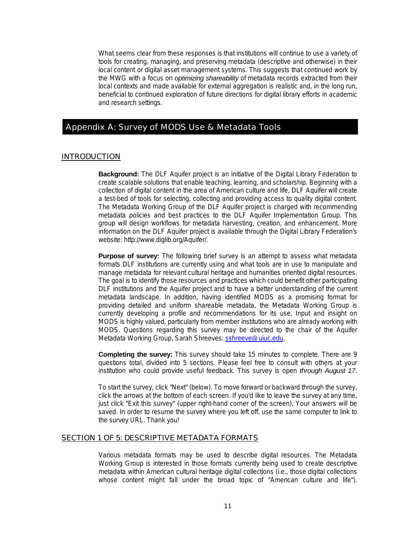What seems clear from these responses is that institutions will continue to use a variety of tools for creating, managing, and preserving metadata (descriptive and otherwise) in their local content or digital asset management systems. This suggests that continued work by the MWG with a focus on *optimizing shareability* of metadata records extracted from their local contexts and made available for external aggregation is realistic and, in the long run, beneficial to continued exploration of future directions for digital library efforts in academic and research settings.

# Appendix A: Survey of MODS Use & Metadata Tools

#### INTRODUCTION

**Background:** The DLF Aquifer project is an initiative of the Digital Library Federation to create scalable solutions that enable teaching, learning, and scholarship. Beginning with a collection of digital content in the area of American culture and life, DLF Aquifer will create a test-bed of tools for selecting, collecting and providing access to quality digital content. The Metadata Working Group of the DLF Aquifer project is charged with recommending metadata policies and best practices to the DLF Aquifer Implementation Group. This group will design workflows for metadata harvesting, creation, and enhancement. More information on the DLF Aquifer project is available through the Digital Library Federation's website: http://www.diglib.org/Aquifer/.

**Purpose of survey:** The following brief survey is an attempt to assess what metadata formats DLF institutions are currently using and what tools are in use to manipulate and manage metadata for relevant cultural heritage and humanities oriented digital resources. The goal is to identify those resources and practices which could benefit other participating DLF institutions and the Aquifer project and to have a better understanding of the current metadata landscape. In addition, having identified MODS as a promising format for providing detailed and uniform shareable metadata, the Metadata Working Group is currently developing a profile and recommendations for its use. Input and insight on MODS is highly valued, particularly from member institutions who are already working with MODS. Questions regarding this survey may be directed to the chair of the Aquifer Metadata Working Group, Sarah Shreeves: sshreeve@uiuc.edu.

**Completing the survey:** This survey should take 15 minutes to complete. There are 9 questions total, divided into 5 sections. Please feel free to consult with others at your institution who could provide useful feedback. This survey is open *through August 17*.

To start the survey, click "Next" (below). To move forward or backward through the survey, click the arrows at the bottom of each screen. If you'd like to leave the survey at any time, just click "Exit this survey" (upper right-hand corner of the screen). Your answers will be saved. In order to resume the survey where you left off, use the same computer to link to the survey URL. Thank you!

#### SECTION 1 OF 5: DESCRIPTIVE METADATA FORMATS

Various metadata formats may be used to describe digital resources. The Metadata Working Group is interested in those formats currently being used to create descriptive metadata within American cultural heritage digital collections (i.e., those digital collections whose content might fall under the broad topic of "American culture and life").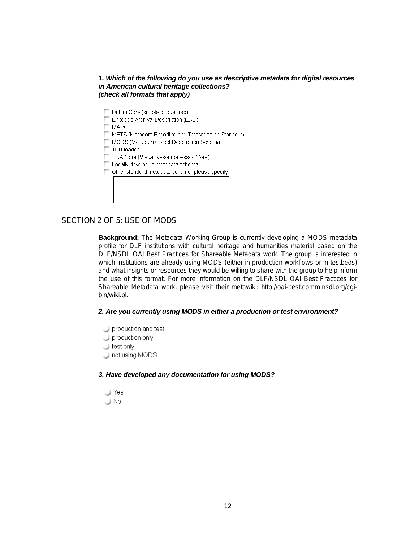# *1. Which of the following do you use as descriptive metadata for digital resources in American cultural heritage collections? (check all formats that apply)*

- Dublin Core (simple or qualified)
- Encoded Archival Description (EAD)

**MARC** 

- METS (Metadata Encoding and Transmission Standard)
- MODS (Metadata Object Description Schema)
- TEI Header
- VRA Core (Visual Resource Assoc Core)
- Locally developed metadata schema
- Other standard metadata schema (please specify)

# SECTION 2 OF 5: USE OF MODS

**Background:** The Metadata Working Group is currently developing a MODS metadata profile for DLF institutions with cultural heritage and humanities material based on the DLF/NSDL OAI Best Practices for Shareable Metadata work. The group is interested in which institutions are already using MODS (either in production workflows or in testbeds) and what insights or resources they would be willing to share with the group to help inform the use of this format. For more information on the DLF/NSDL OAI Best Practices for Shareable Metadata work, please visit their metawiki: http://oai-best.comm.nsdl.org/cgibin/wiki.pl.

# *2. Are you currently using MODS in either a production or test environment?*

- production and test
- $\Box$  production only
- test only
- $\Box$  not using MODS

# *3. Have developed any documentation for using MODS?*

 $\cup$  Yes  $\cup$  No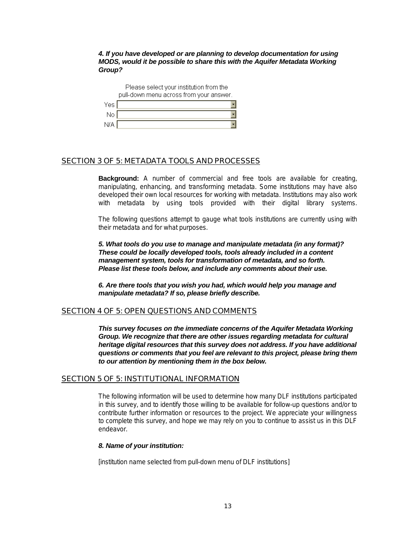*4. If you have developed or are planning to develop documentation for using MODS, would it be possible to share this with the Aquifer Metadata Working Group?* 

|            | Please select your institution from the<br>pull-down menu across from your answer. |
|------------|------------------------------------------------------------------------------------|
| Yes.       |                                                                                    |
| No.        |                                                                                    |
| <b>N/A</b> |                                                                                    |

# SECTION 3 OF 5: METADATA TOOLS AND PROCESSES

**Background:** A number of commercial and free tools are available for creating, manipulating, enhancing, and transforming metadata. Some institutions may have also developed their own local resources for working with metadata. Institutions may also work with metadata by using tools provided with their digital library systems.

The following questions attempt to gauge what tools institutions are currently using with their metadata and for what purposes.

*5. What tools do you use to manage and manipulate metadata (in any format)? These could be locally developed tools, tools already included in a content management system, tools for transformation of metadata, and so forth. Please list these tools below, and include any comments about their use.* 

*6. Are there tools that you wish you had, which would help you manage and manipulate metadata? If so, please briefly describe.* 

# SECTION 4 OF 5: OPEN QUESTIONS AND COMMENTS

*This survey focuses on the immediate concerns of the Aquifer Metadata Working Group.* We recognize that there are other issues regarding metadata for cultural *heritage digital resources that this survey does not address. If you have additional questions or comments that you feel are relevant to this project, please bring them to our attention by mentioning them in the box below.* 

# SECTION 5 OF 5: INSTITUTIONAL INFORMATION

The following information will be used to determine how many DLF institutions participated in this survey, and to identify those willing to be available for follow-up questions and/or to contribute further information or resources to the project. We appreciate your willingness to complete this survey, and hope we may rely on you to continue to assist us in this DLF endeavor.

#### *8. Name of your institution:*

[institution name selected from pull-down menu of DLF institutions]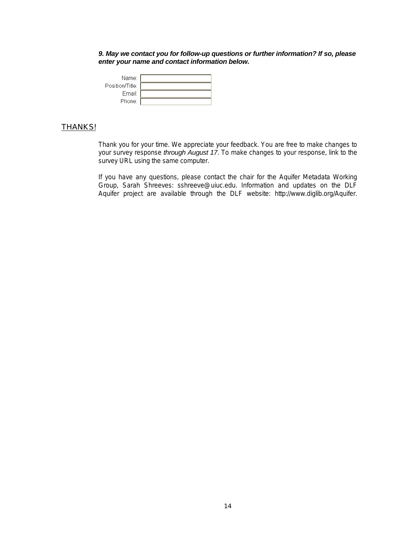*9. May we contact you for follow-up questions or further information? If so, please enter your name and contact information below.* 

| Name:           |  |
|-----------------|--|
| Position/Title: |  |
| Email:          |  |
| Phone:          |  |

# **THANKS!**

Thank you for your time. We appreciate your feedback. You are free to make changes to your survey response *through August 17*. To make changes to your response, link to the survey URL using the same computer.

If you have any questions, please contact the chair for the Aquifer Metadata Working Group, Sarah Shreeves: sshreeve@uiuc.edu. Information and updates on the DLF Aquifer project are available through the DLF website: http://www.diglib.org/Aquifer.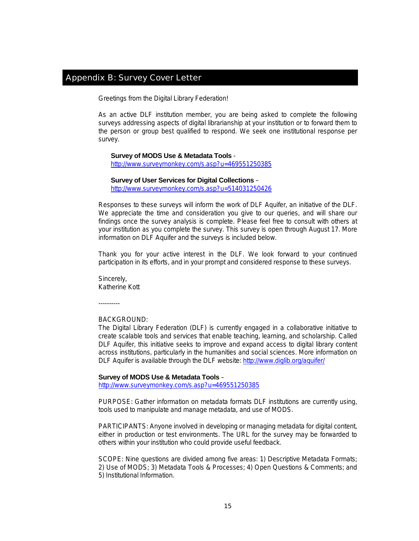# Appendix B: Survey Cover Letter

Greetings from the Digital Library Federation!

As an active DLF institution member, you are being asked to complete the following surveys addressing aspects of digital librarianship at your institution or to forward them to the person or group best qualified to respond. We seek one institutional response per survey.

#### **Survey of MODS Use & Metadata Tools** -

http://www.surveymonkey.com/s.asp?u=469551250385

# **Survey of User Services for Digital Collections** – http://www.surveymonkey.com/s.asp?u=514031250426

Responses to these surveys will inform the work of DLF Aquifer, an initiative of the DLF. We appreciate the time and consideration you give to our queries, and will share our findings once the survey analysis is complete. Please feel free to consult with others at your institution as you complete the survey. This survey is open through August 17. More information on DLF Aquifer and the surveys is included below.

Thank you for your active interest in the DLF. We look forward to your continued participation in its efforts, and in your prompt and considered response to these surveys.

Sincerely, Katherine Kott

----------

#### BACKGROUND:

The Digital Library Federation (DLF) is currently engaged in a collaborative initiative to create scalable tools and services that enable teaching, learning, and scholarship. Called DLF Aquifer, this initiative seeks to improve and expand access to digital library content across institutions, particularly in the humanities and social sciences. More information on DLF Aquifer is available through the DLF website: http://www.diglib.org/aquifer/

#### **Survey of MODS Use & Metadata Tools** –

http://www.surveymonkey.com/s.asp?u=469551250385

PURPOSE: Gather information on metadata formats DLF institutions are currently using, tools used to manipulate and manage metadata, and use of MODS.

PARTICIPANTS: Anyone involved in developing or managing metadata for digital content, either in production or test environments. The URL for the survey may be forwarded to others within your institution who could provide useful feedback.

SCOPE: Nine questions are divided among five areas: 1) Descriptive Metadata Formats; 2) Use of MODS; 3) Metadata Tools & Processes; 4) Open Questions & Comments; and 5) Institutional Information.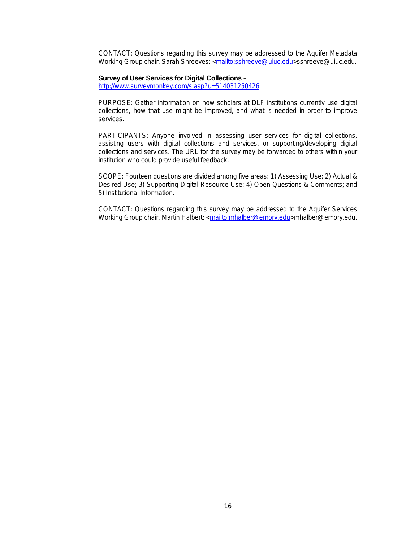CONTACT: Questions regarding this survey may be addressed to the Aquifer Metadata Working Group chair, Sarah Shreeves: <mailto:sshreeve@uiuc.edu>sshreeve@uiuc.edu.

#### **Survey of User Services for Digital Collections** –

http://www.surveymonkey.com/s.asp?u=514031250426

PURPOSE: Gather information on how scholars at DLF institutions currently use digital collections, how that use might be improved, and what is needed in order to improve services.

PARTICIPANTS: Anyone involved in assessing user services for digital collections, assisting users with digital collections and services, or supporting/developing digital collections and services. The URL for the survey may be forwarded to others within your institution who could provide useful feedback.

SCOPE: Fourteen questions are divided among five areas: 1) Assessing Use; 2) Actual & Desired Use; 3) Supporting Digital-Resource Use; 4) Open Questions & Comments; and 5) Institutional Information.

CONTACT: Questions regarding this survey may be addressed to the Aquifer Services Working Group chair, Martin Halbert: <mailto:mhalber@emory.edu>mhalber@emory.edu.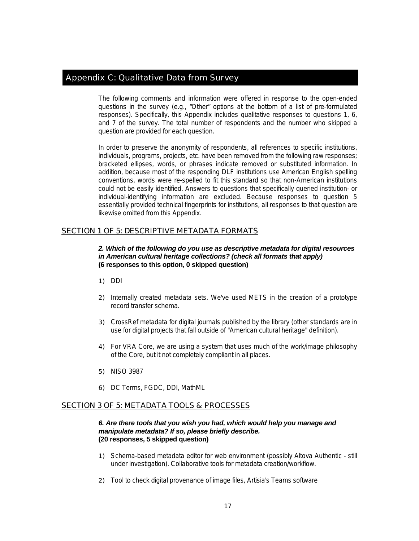# Appendix C: Qualitative Data from Survey

The following comments and information were offered in response to the open-ended questions in the survey (e.g., "Other" options at the bottom of a list of pre-formulated responses). Specifically, this Appendix includes qualitative responses to questions 1, 6, and 7 of the survey. The total number of respondents and the number who skipped a question are provided for each question.

In order to preserve the anonymity of respondents, all references to specific institutions, individuals, programs, projects, etc. have been removed from the following raw responses; bracketed ellipses, words, or phrases indicate removed or substituted information. In addition, because most of the responding DLF institutions use American English spelling conventions, words were re-spelled to fit this standard so that non-American institutions could not be easily identified. Answers to questions that specifically queried institution- or individual-identifying information are excluded. Because responses to question 5 essentially provided technical fingerprints for institutions, all responses to that question are likewise omitted from this Appendix.

# SECTION 1 OF 5: DESCRIPTIVE METADATA FORMATS

*2. Which of the following do you use as descriptive metadata for digital resources in American cultural heritage collections? (check all formats that apply)*  **(6 responses to this option, 0 skipped question)** 

- 1) DDI
- 2) Internally created metadata sets. We've used METS in the creation of a prototype record transfer schema.
- 3) CrossRef metadata for digital journals published by the library (other standards are in use for digital projects that fall outside of "American cultural heritage" definition).
- 4) For VRA Core, we are using a system that uses much of the work/image philosophy of the Core, but it not completely compliant in all places.
- 5) NISO 3987
- 6) DC Terms, FGDC, DDI, MathML

# SECTION 3 OF 5: METADATA TOOLS & PROCESSES

# *6. Are there tools that you wish you had, which would help you manage and manipulate metadata? If so, please briefly describe.*  **(20 responses, 5 skipped question)**

- 1) Schema-based metadata editor for web environment (possibly Altova Authentic still under investigation). Collaborative tools for metadata creation/workflow.
- 2) Tool to check digital provenance of image files, Artisia's Teams software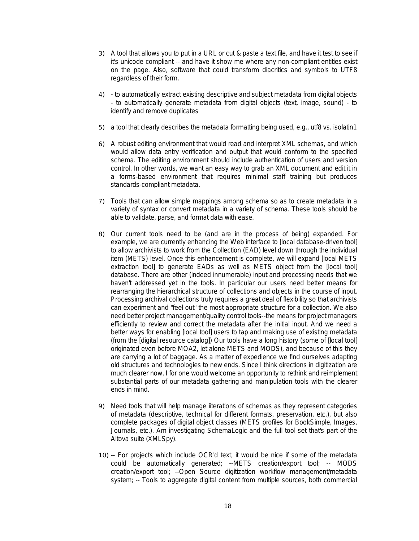- 3) A tool that allows you to put in a URL or cut & paste a text file, and have it test to see if it's unicode compliant -- and have it show me where any non-compliant entities exist on the page. Also, software that could transform diacritics and symbols to UTF8 regardless of their form.
- 4) to automatically extract existing descriptive and subject metadata from digital objects - to automatically generate metadata from digital objects (text, image, sound) - to identify and remove duplicates
- 5) a tool that clearly describes the metadata formatting being used, e.g., utf8 vs. isolatin1
- 6) A robust editing environment that would read and interpret XML schemas, and which would allow data entry verification and output that would conform to the specified schema. The editing environment should include authentication of users and version control. In other words, we want an easy way to grab an XML document and edit it in a forms-based environment that requires minimal staff training but produces standards-compliant metadata.
- 7) Tools that can allow simple mappings among schema so as to create metadata in a variety of syntax or convert metadata in a variety of schema. These tools should be able to validate, parse, and format data with ease.
- 8) Our current tools need to be (and are in the process of being) expanded. For example, we are currently enhancing the Web interface to [local database-driven tool] to allow archivists to work from the Collection (EAD) level down through the individual item (METS) level. Once this enhancement is complete, we will expand [local METS extraction tool] to generate EADs as well as METS object from the [local tool] database. There are other (indeed innumerable) input and processing needs that we haven't addressed yet in the tools. In particular our users need better means for rearranging the hierarchical structure of collections and objects in the course of input. Processing archival collections truly requires a great deal of flexibility so that archivists can experiment and "feel out" the most appropriate structure for a collection. We also need better project management/quality control tools--the means for project managers efficiently to review and correct the metadata after the initial input. And we need a better ways for enabling [local tool] users to tap and making use of existing metadata (from the [digital resource catalog]) Our tools have a long history (some of [local tool] originated even before MOA2, let alone METS and MODS), and because of this they are carrying a lot of baggage. As a matter of expedience we find ourselves adapting old structures and technologies to new ends. Since I think directions in digitization are much clearer now, I for one would welcome an opportunity to rethink and reimplement substantial parts of our metadata gathering and manipulation tools with the clearer ends in mind.
- 9) Need tools that will help manage iiterations of schemas as they represent categories of metadata (descriptive, technical for different formats, preservation, etc.), but also complete packages of digital object classes (METS profiles for BookSimple, Images, Journals, etc.). Am investigating SchemaLogic and the full tool set that's part of the Altova suite (XMLSpy).
- 10) -- For projects which include OCR'd text, it would be nice if some of the metadata could be automatically generated; --METS creation/export tool; -- MODS creation/export tool; --Open Source digitization workflow management/metadata system; -- Tools to aggregate digital content from multiple sources, both commercial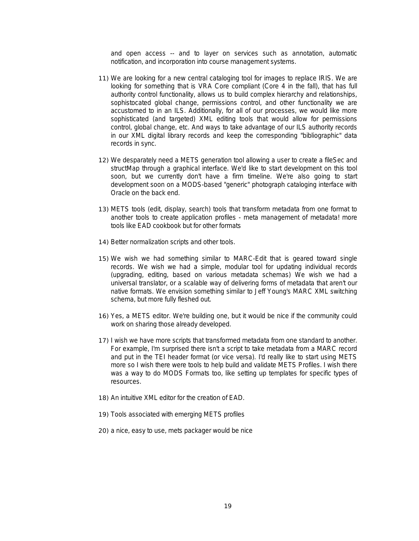and open access -- and to layer on services such as annotation, automatic notification, and incorporation into course management systems.

- 11) We are looking for a new central cataloging tool for images to replace IRIS. We are looking for something that is VRA Core compliant (Core 4 in the fall), that has full authority control functionality, allows us to build complex hierarchy and relationships, sophistocated global change, permissions control, and other functionality we are accustomed to in an ILS. Additionally, for all of our processes, we would like more sophisticated (and targeted) XML editing tools that would allow for permissions control, global change, etc. And ways to take advantage of our ILS authority records in our XML digital library records and keep the corresponding "bibliographic" data records in sync.
- 12) We desparately need a METS generation tool allowing a user to create a fileSec and structMap through a graphical interface. We'd like to start development on this tool soon, but we currently don't have a firm timeline. We're also going to start development soon on a MODS-based "generic" photograph cataloging interface with Oracle on the back end.
- 13) METS tools (edit, display, search) tools that transform metadata from one format to another tools to create application profiles - meta management of metadata! more tools like EAD cookbook but for other formats
- 14) Better normalization scripts and other tools.
- 15) We wish we had something similar to MARC-Edit that is geared toward single records. We wish we had a simple, modular tool for updating individual records (upgrading, editing, based on various metadata schemas) We wish we had a universal translator, or a scalable way of delivering forms of metadata that aren't our native formats. We envision something similar to Jeff Young's MARC XML switching schema, but more fully fleshed out.
- 16) Yes, a METS editor. We're building one, but it would be nice if the community could work on sharing those already developed.
- 17) I wish we have more scripts that transformed metadata from one standard to another. For example, I'm surprised there isn't a script to take metadata from a MARC record and put in the TEI header format (or vice versa). I'd really like to start using METS more so I wish there were tools to help build and validate METS Profiles. I wish there was a way to do MODS Formats too, like setting up templates for specific types of resources.
- 18) An intuitive XML editor for the creation of EAD.
- 19) Tools associated with emerging METS profiles
- 20) a nice, easy to use, mets packager would be nice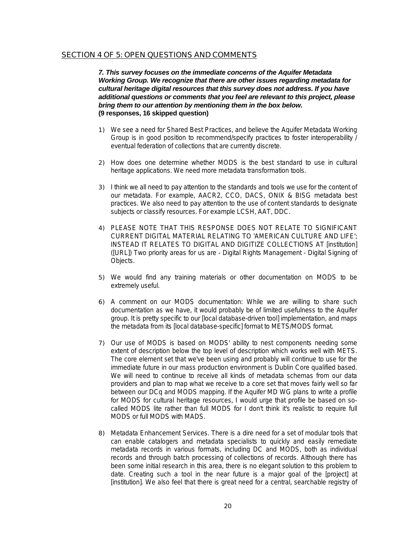# SECTION 4 OF 5: OPEN QUESTIONS AND COMMENTS

*7. This survey focuses on the immediate concerns of the Aquifer Metadata Working Group. We recognize that there are other issues regarding metadata for cultural heritage digital resources that this survey does not address. If you have additional questions or comments that you feel are relevant to this project, please bring them to our attention by mentioning them in the box below.*  **(9 responses, 16 skipped question)** 

- 1) We see a need for Shared Best Practices, and believe the Aquifer Metadata Working Group is in good position to recommend/specify practices to foster interoperability / eventual federation of collections that are currently discrete.
- 2) How does one determine whether MODS is the best standard to use in cultural heritage applications. We need more metadata transformation tools.
- 3) I think we all need to pay attention to the standards and tools we use for the content of our metadata. For example, AACR2, CCO, DACS, ONIX & BISG metadata best practices. We also need to pay attention to the use of content standards to designate subjects or classify resources. For example LCSH, AAT, DDC.
- 4) PLEASE NOTE THAT THIS RESPONSE DOES NOT RELATE TO SIGNIFICANT CURRENT DIGITAL MATERIAL RELATING TO 'AMERICAN CULTURE AND LIFE'; INSTEAD IT RELATES TO DIGITAL AND DIGITIZE COLLECTIONS AT [institution] ([URL]) Two priority areas for us are - Digital Rights Management - Digital Signing of Objects.
- 5) We would find any training materials or other documentation on MODS to be extremely useful.
- 6) A comment on our MODS documentation: While we are willing to share such documentation as we have, it would probably be of limited usefulness to the Aquifer group. It is pretty specific to our [local database-driven tool] implementation, and maps the metadata from its [local database-specific] format to METS/MODS format.
- 7) Our use of MODS is based on MODS' ability to nest components needing some extent of description below the top level of description which works well with METS. The core element set that we've been using and probably will continue to use for the immediate future in our mass production environment is Dublin Core qualified based. We will need to continue to receive all kinds of metadata schemas from our data providers and plan to map what we receive to a core set that moves fairly well so far between our DCq and MODS mapping. If the Aquifer MD WG plans to write a profile for MODS for cultural heritage resources, I would urge that profile be based on socalled MODS lite rather than full MODS for I don't think it's realistic to require full MODS or full MODS with MADS.
- 8) Metadata Enhancement Services. There is a dire need for a set of modular tools that can enable catalogers and metadata specialists to quickly and easily remediate metadata records in various formats, including DC and MODS, both as individual records and through batch processing of collections of records. Although there has been some initial research in this area, there is no elegant solution to this problem to date. Creating such a tool in the near future is a major goal of the [project] at [institution]. We also feel that there is great need for a central, searchable registry of